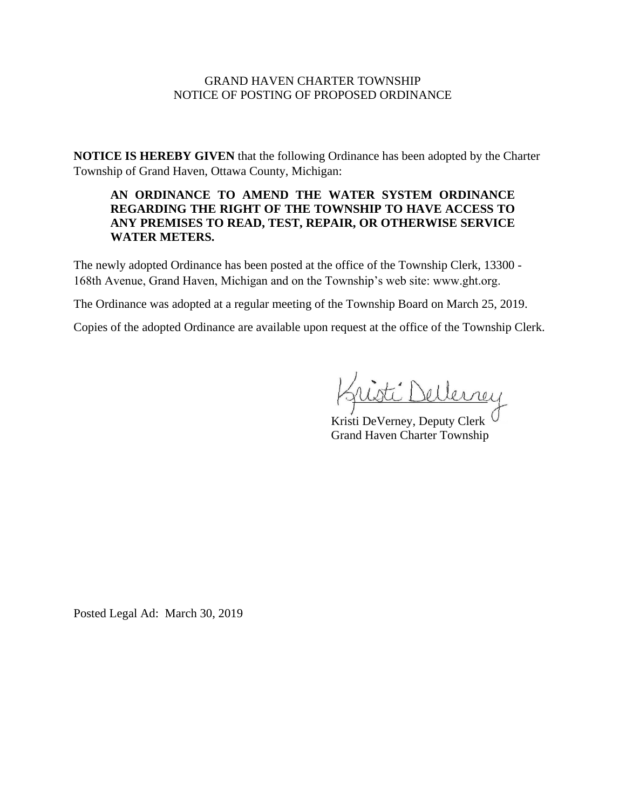### GRAND HAVEN CHARTER TOWNSHIP NOTICE OF POSTING OF PROPOSED ORDINANCE

**NOTICE IS HEREBY GIVEN** that the following Ordinance has been adopted by the Charter Township of Grand Haven, Ottawa County, Michigan:

# **AN ORDINANCE TO AMEND THE WATER SYSTEM ORDINANCE REGARDING THE RIGHT OF THE TOWNSHIP TO HAVE ACCESS TO ANY PREMISES TO READ, TEST, REPAIR, OR OTHERWISE SERVICE WATER METERS.**

The newly adopted Ordinance has been posted at the office of the Township Clerk, 13300 - 168th Avenue, Grand Haven, Michigan and on the Township's web site: www.ght.org.

The Ordinance was adopted at a regular meeting of the Township Board on March 25, 2019.

Copies of the adopted Ordinance are available upon request at the office of the Township Clerk.

\_\_\_\_\_\_\_\_\_\_\_\_\_\_\_\_\_\_\_\_\_\_

Kristi DeVerney, Deputy Clerk Grand Haven Charter Township

Posted Legal Ad: March 30, 2019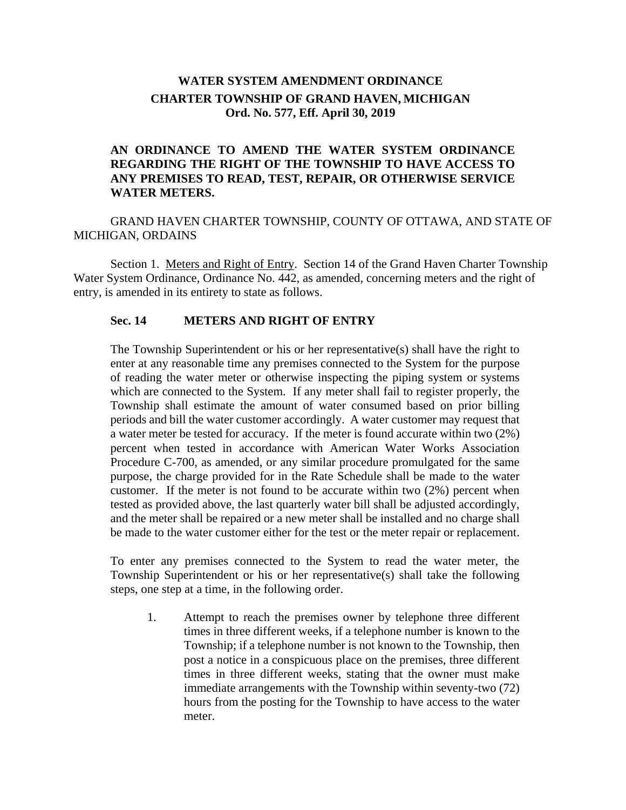# **WATER SYSTEM AMENDMENT ORDINANCE CHARTER TOWNSHIP OF GRAND HAVEN, MICHIGAN Ord. No. 577, Eff. April 30, 2019**

# **AN ORDINANCE TO AMEND THE WATER SYSTEM ORDINANCE REGARDING THE RIGHT OF THE TOWNSHIP TO HAVE ACCESS TO ANY PREMISES TO READ, TEST, REPAIR, OR OTHERWISE SERVICE WATER METERS.**

GRAND HAVEN CHARTER TOWNSHIP, COUNTY OF OTTAWA, AND STATE OF MICHIGAN, ORDAINS

Section 1. Meters and Right of Entry. Section 14 of the Grand Haven Charter Township Water System Ordinance, Ordinance No. 442, as amended, concerning meters and the right of entry, is amended in its entirety to state as follows.

### **Sec. 14 METERS AND RIGHT OF ENTRY**

The Township Superintendent or his or her representative(s) shall have the right to enter at any reasonable time any premises connected to the System for the purpose of reading the water meter or otherwise inspecting the piping system or systems which are connected to the System. If any meter shall fail to register properly, the Township shall estimate the amount of water consumed based on prior billing periods and bill the water customer accordingly. A water customer may request that a water meter be tested for accuracy. If the meter is found accurate within two (2%) percent when tested in accordance with American Water Works Association Procedure C-700, as amended, or any similar procedure promulgated for the same purpose, the charge provided for in the Rate Schedule shall be made to the water customer. If the meter is not found to be accurate within two (2%) percent when tested as provided above, the last quarterly water bill shall be adjusted accordingly, and the meter shall be repaired or a new meter shall be installed and no charge shall be made to the water customer either for the test or the meter repair or replacement.

To enter any premises connected to the System to read the water meter, the Township Superintendent or his or her representative(s) shall take the following steps, one step at a time, in the following order.

1. Attempt to reach the premises owner by telephone three different times in three different weeks, if a telephone number is known to the Township; if a telephone number is not known to the Township, then post a notice in a conspicuous place on the premises, three different times in three different weeks, stating that the owner must make immediate arrangements with the Township within seventy-two (72) hours from the posting for the Township to have access to the water meter.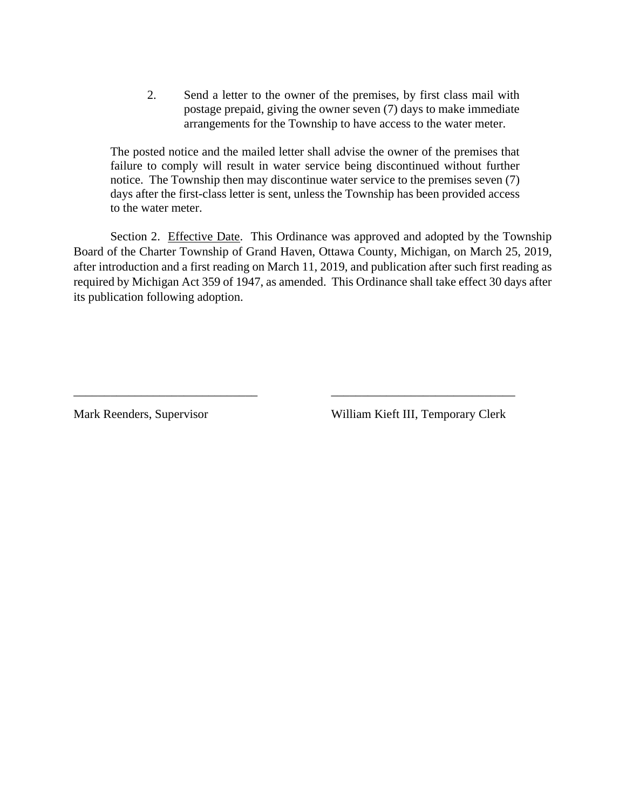2. Send a letter to the owner of the premises, by first class mail with postage prepaid, giving the owner seven (7) days to make immediate arrangements for the Township to have access to the water meter.

The posted notice and the mailed letter shall advise the owner of the premises that failure to comply will result in water service being discontinued without further notice. The Township then may discontinue water service to the premises seven (7) days after the first-class letter is sent, unless the Township has been provided access to the water meter.

Section 2. Effective Date. This Ordinance was approved and adopted by the Township Board of the Charter Township of Grand Haven, Ottawa County, Michigan, on March 25, 2019, after introduction and a first reading on March 11, 2019, and publication after such first reading as required by Michigan Act 359 of 1947, as amended. This Ordinance shall take effect 30 days after its publication following adoption.

\_\_\_\_\_\_\_\_\_\_\_\_\_\_\_\_\_\_\_\_\_\_\_\_\_\_\_\_\_\_ \_\_\_\_\_\_\_\_\_\_\_\_\_\_\_\_\_\_\_\_\_\_\_\_\_\_\_\_\_\_

Mark Reenders, Supervisor William Kieft III, Temporary Clerk